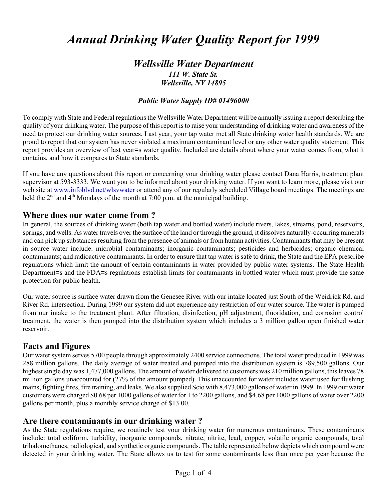# *Annual Drinking Water Quality Report for 1999*

# *Wellsville Water Department 111 W. State St. Wellsville, NY 14895*

#### *Public Water Supply ID# 01496000*

To comply with State and Federal regulations the Wellsville Water Department will be annually issuing a report describing the quality of your drinking water. The purpose of this report is to raise your understanding of drinking water and awareness of the need to protect our drinking water sources. Last year, your tap water met all State drinking water health standards. We are proud to report that our system has never violated a maximum contaminant level or any other water quality statement. This report provides an overview of last year=s water quality. Included are details about where your water comes from, what it contains, and how it compares to State standards.

If you have any questions about this report or concerning your drinking water please contact Dana Harris, treatment plant supervisor at 593-3333. We want you to be informed about your drinking water. If you want to learn more, please visit our web site at www.infoblyd.net/wlsvwater or attend any of our regularly scheduled Village board meetings. The meetings are held the  $2<sup>nd</sup>$  and  $4<sup>th</sup>$  Mondays of the month at 7:00 p.m. at the municipal building.

#### **Where does our water come from ?**

In general, the sources of drinking water (both tap water and bottled water) include rivers, lakes, streams, pond, reservoirs, springs, and wells. As water travels over the surface of the land or through the ground, it dissolves naturally-occurring minerals and can pick up substances resulting from the presence of animals or from human activities. Contaminants that may be present in source water include: microbial contaminants; inorganic contaminants; pesticides and herbicides; organic chemical contaminants; and radioactive contaminants. In order to ensure that tap water is safe to drink, the State and the EPA prescribe regulations which limit the amount of certain contaminants in water provided by public water systems. The State Health Department=s and the FDA=s regulations establish limits for contaminants in bottled water which must provide the same protection for public health.

Our water source is surface water drawn from the Genesee River with our intake located just South of the Weidrick Rd. and River Rd. intersection. During 1999 our system did not experience any restriction of our water source. The water is pumped from our intake to the treatment plant. After filtration, disinfection, pH adjustment, fluoridation, and corrosion control treatment, the water is then pumped into the distribution system which includes a 3 million gallon open finished water reservoir.

## **Facts and Figures**

Our water system serves 5700 people through approximately 2400 service connections. The total water produced in 1999 was 288 million gallons. The daily average of water treated and pumped into the distribution system is 789,500 gallons. Our highest single day was 1,477,000 gallons. The amount of water delivered to customers was 210 million gallons, this leaves 78 million gallons unaccounted for (27% of the amount pumped). This unaccounted for water includes water used for flushing mains, fighting fires, fire training, and leaks. We also supplied Scio with 8,473,000 gallons of water in 1999. In 1999 our water customers were charged \$0.68 per 1000 gallons of water for 1 to 2200 gallons, and \$4.68 per 1000 gallons of water over 2200 gallons per month, plus a monthly service charge of \$13.00.

## **Are there contaminants in our drinking water ?**

As the State regulations require, we routinely test your drinking water for numerous contaminants. These contaminants include: total coliform, turbidity, inorganic compounds, nitrate, nitrite, lead, copper, volatile organic compounds, total trihalomethanes, radiological, and synthetic organic compounds. The table represented below depicts which compound were detected in your drinking water. The State allows us to test for some contaminants less than once per year because the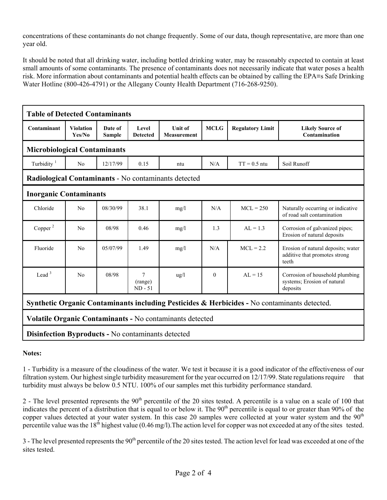concentrations of these contaminants do not change frequently. Some of our data, though representative, are more than one year old.

It should be noted that all drinking water, including bottled drinking water, may be reasonably expected to contain at least small amounts of some contaminants. The presence of contaminants does not necessarily indicate that water poses a health risk. More information about contaminants and potential health effects can be obtained by calling the EPA=s Safe Drinking Water Hotline (800-426-4791) or the Allegany County Health Department (716-268-9250).

| <b>Table of Detected Contaminants</b>                                                        |                            |                          |                                        |                               |             |                         |                                                                              |
|----------------------------------------------------------------------------------------------|----------------------------|--------------------------|----------------------------------------|-------------------------------|-------------|-------------------------|------------------------------------------------------------------------------|
| Contaminant                                                                                  | <b>Violation</b><br>Yes/No | Date of<br><b>Sample</b> | Level<br><b>Detected</b>               | <b>Unit of</b><br>Measurement | <b>MCLG</b> | <b>Regulatory Limit</b> | <b>Likely Source of</b><br>Contamination                                     |
| <b>Microbiological Contaminants</b>                                                          |                            |                          |                                        |                               |             |                         |                                                                              |
| Turbidity $1$                                                                                | N <sub>0</sub>             | 12/17/99                 | 0.15                                   | ntu                           | N/A         | $TT = 0.5$ ntu          | Soil Runoff                                                                  |
| Radiological Contaminants - No contaminants detected                                         |                            |                          |                                        |                               |             |                         |                                                                              |
| <b>Inorganic Contaminants</b>                                                                |                            |                          |                                        |                               |             |                         |                                                                              |
| Chloride                                                                                     | N <sub>0</sub>             | 08/30/99                 | 38.1                                   | mg/l                          | N/A         | $MCL = 250$             | Naturally occurring or indicative<br>of road salt contamination              |
| Copper $^2$                                                                                  | N <sub>0</sub>             | 08/98                    | 0.46                                   | mg/l                          | 1.3         | $AL = 1.3$              | Corrosion of galvanized pipes;<br>Erosion of natural deposits                |
| Fluoride                                                                                     | No                         | 05/07/99                 | 1.49                                   | mg/l                          | N/A         | $MCL = 2.2$             | Erosion of natural deposits; water<br>additive that promotes strong<br>teeth |
| Lead $3$                                                                                     | N <sub>0</sub>             | 08/98                    | $\overline{7}$<br>(range)<br>$ND - 51$ | ug/l                          | $\theta$    | $AL = 15$               | Corrosion of household plumbing<br>systems; Erosion of natural<br>deposits   |
| Synthetic Organic Contaminants including Pesticides & Herbicides - No contaminants detected. |                            |                          |                                        |                               |             |                         |                                                                              |
| Volatile Organic Contaminants - No contaminants detected                                     |                            |                          |                                        |                               |             |                         |                                                                              |
| <b>Disinfection Byproducts - No contaminants detected</b>                                    |                            |                          |                                        |                               |             |                         |                                                                              |

**Notes:**

1 - Turbidity is a measure of the cloudiness of the water. We test it because it is a good indicator of the effectiveness of our filtration system. Our highest single turbidity measurement for the year occurred on 12/17/99. State regulations require that turbidity must always be below 0.5 NTU. 100% of our samples met this turbidity performance standard.

2 - The level presented represents the  $90<sup>th</sup>$  percentile of the 20 sites tested. A percentile is a value on a scale of 100 that indicates the percent of a distribution that is equal to or below it. The  $90<sup>th</sup>$  percentile is equal to or greater than  $90<sup>th</sup>$  of the copper values detected at your water system. In this case 20 samples were collected at your water system and the 90<sup>th</sup> percentile value was the  $18<sup>th</sup>$  highest value (0.46 mg/l). The action level for copper was not exceeded at any of the sites tested.

3 - The level presented represents the 90<sup>th</sup> percentile of the 20 sites tested. The action level for lead was exceeded at one of the sites tested.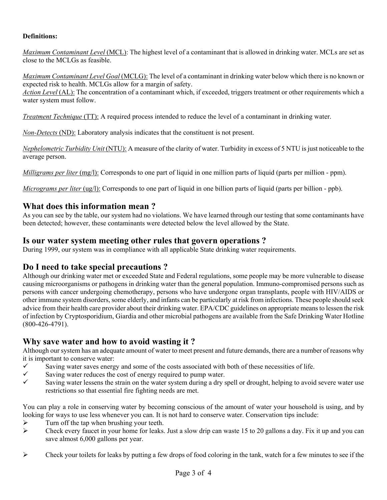#### **Definitions:**

*Maximum Contaminant Level* (MCL): The highest level of a contaminant that is allowed in drinking water. MCLs are set as close to the MCLGs as feasible.

*Maximum Contaminant Level Goal* (MCLG): The level of a contaminant in drinking water below which there is no known or expected risk to health. MCLGs allow for a margin of safety.

*Action Level* (AL): The concentration of a contaminant which, if exceeded, triggers treatment or other requirements which a water system must follow.

*Treatment Technique* (TT): A required process intended to reduce the level of a contaminant in drinking water.

*Non-Detects* (ND): Laboratory analysis indicates that the constituent is not present.

*Nephelometric Turbidity Unit* (NTU): A measure of the clarity of water. Turbidity in excess of 5 NTU is just noticeable to the average person.

*Milligrams per liter* (mg/l): Corresponds to one part of liquid in one million parts of liquid (parts per million - ppm).

*Micrograms per liter* (ug/l): Corresponds to one part of liquid in one billion parts of liquid (parts per billion - ppb).

## **What does this information mean ?**

As you can see by the table, our system had no violations. We have learned through our testing that some contaminants have been detected; however, these contaminants were detected below the level allowed by the State.

## **Is our water system meeting other rules that govern operations ?**

During 1999, our system was in compliance with all applicable State drinking water requirements.

## **Do I need to take special precautions ?**

Although our drinking water met or exceeded State and Federal regulations, some people may be more vulnerable to disease causing microorganisms or pathogens in drinking water than the general population. Immuno-compromised persons such as persons with cancer undergoing chemotherapy, persons who have undergone organ transplants, people with HIV/AIDS or other immune system disorders, some elderly, and infants can be particularly at risk from infections. These people should seek advice from their health care provider about their drinking water. EPA/CDC guidelines on appropriate means to lessen the risk of infection by Cryptosporidium, Giardia and other microbial pathogens are available from the Safe Drinking Water Hotline (800-426-4791).

## **Why save water and how to avoid wasting it ?**

Although our system has an adequate amount of water to meet present and future demands, there are a number of reasons why it is important to conserve water:

- $\checkmark$  Saving water saves energy and some of the costs associated with both of these necessities of life.
- $\checkmark$  Saving water reduces the cost of energy required to pump water.
- $\checkmark$  Saving water lessens the strain on the water system during a dry spell or drought, helping to avoid severe water use restrictions so that essential fire fighting needs are met.

You can play a role in conserving water by becoming conscious of the amount of water your household is using, and by looking for ways to use less whenever you can. It is not hard to conserve water. Conservation tips include:

- $\triangleright$  Turn off the tap when brushing your teeth.
- $\triangleright$  Check every faucet in your home for leaks. Just a slow drip can waste 15 to 20 gallons a day. Fix it up and you can save almost 6,000 gallons per year.
- $\triangleright$  Check your toilets for leaks by putting a few drops of food coloring in the tank, watch for a few minutes to see if the